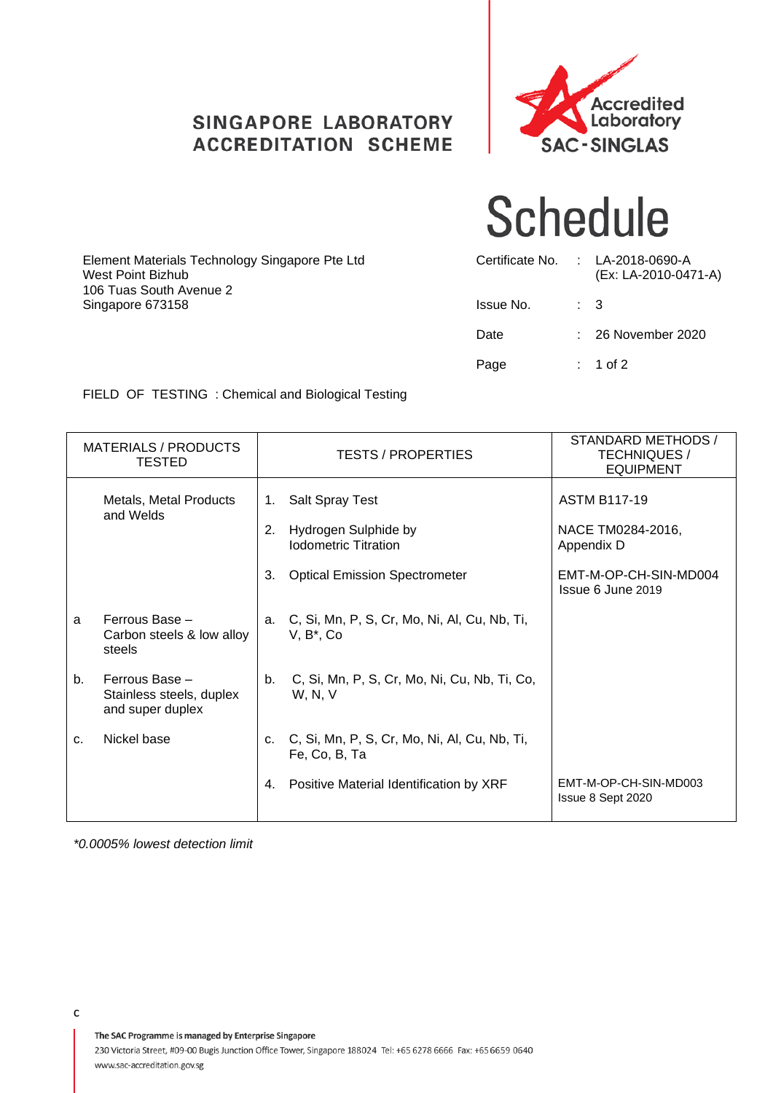### **SINGAPORE LABORATORY ACCREDITATION SCHEME**



## **Schedule**

| Element Materials Technology Singapore Pte Ltd<br>West Point Bizhub<br>106 Tuas South Avenue 2 | Certificate No. |                | : LA-2018-0690-A<br>(Ex: LA-2010-0471-A) |
|------------------------------------------------------------------------------------------------|-----------------|----------------|------------------------------------------|
| Singapore 673158                                                                               | Issue No.       | $\therefore$ 3 |                                          |
|                                                                                                | Date            |                | $\therefore$ 26 November 2020            |
|                                                                                                | Page            |                | $: 1$ of 2                               |

FIELD OF TESTING : Chemical and Biological Testing

|    | <b>MATERIALS / PRODUCTS</b><br><b>TESTED</b>                   |    | <b>TESTS / PROPERTIES</b>                                        | STANDARD METHODS /<br><b>TECHNIQUES /</b><br><b>EQUIPMENT</b> |
|----|----------------------------------------------------------------|----|------------------------------------------------------------------|---------------------------------------------------------------|
|    | Metals, Metal Products<br>and Welds                            | 1. | <b>Salt Spray Test</b>                                           | <b>ASTM B117-19</b>                                           |
|    |                                                                | 2. | Hydrogen Sulphide by<br><b>Iodometric Titration</b>              | NACE TM0284-2016,<br>Appendix D                               |
|    |                                                                | 3. | <b>Optical Emission Spectrometer</b>                             | EMT-M-OP-CH-SIN-MD004<br>Issue 6 June 2019                    |
| a  | Ferrous Base -<br>Carbon steels & low alloy<br>steels          | a. | C, Si, Mn, P, S, Cr, Mo, Ni, Al, Cu, Nb, Ti,<br>$V, B^*, Co$     |                                                               |
| b. | Ferrous Base -<br>Stainless steels, duplex<br>and super duplex |    | b. C, Si, Mn, P, S, Cr, Mo, Ni, Cu, Nb, Ti, Co,<br>W, N, V       |                                                               |
| C. | Nickel base                                                    |    | c. C, Si, Mn, P, S, Cr, Mo, Ni, Al, Cu, Nb, Ti,<br>Fe, Co, B, Ta |                                                               |
|    |                                                                | 4. | Positive Material Identification by XRF                          | EMT-M-OP-CH-SIN-MD003<br>Issue 8 Sept 2020                    |

*\*0.0005% lowest detection limit*